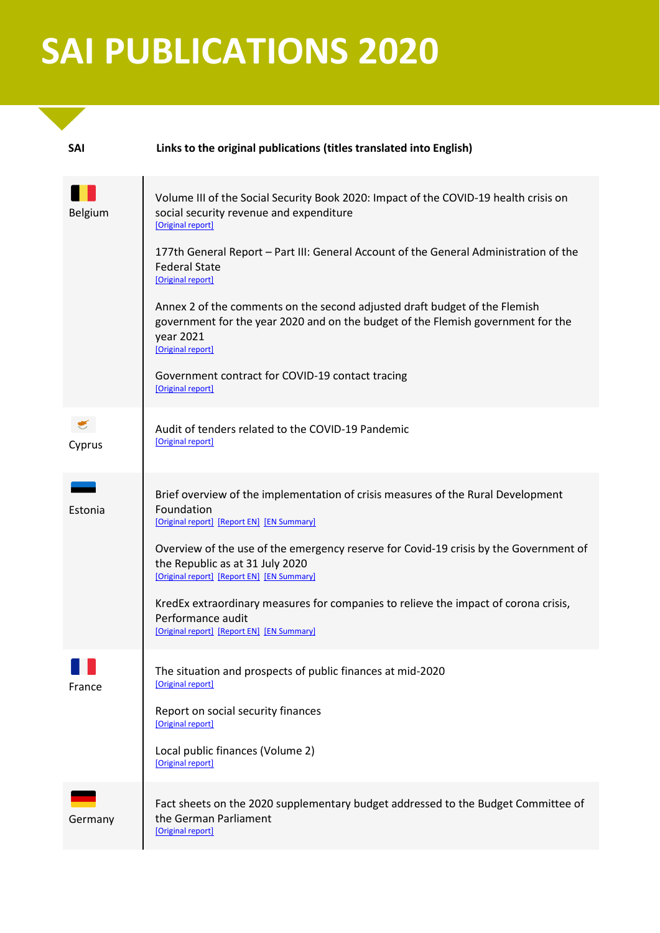## **SAI PUBLICATIONS 2020**

| <b>SAI</b> | Links to the original publications (titles translated into English)                                                                                                                              |
|------------|--------------------------------------------------------------------------------------------------------------------------------------------------------------------------------------------------|
| Belgium    | Volume III of the Social Security Book 2020: Impact of the COVID-19 health crisis on<br>social security revenue and expenditure<br>[Original report]                                             |
|            | 177th General Report - Part III: General Account of the General Administration of the<br><b>Federal State</b><br>[Original report]                                                               |
|            | Annex 2 of the comments on the second adjusted draft budget of the Flemish<br>government for the year 2020 and on the budget of the Flemish government for the<br>year 2021<br>[Original report] |
|            | Government contract for COVID-19 contact tracing<br>[Original report]                                                                                                                            |
| Cyprus     | Audit of tenders related to the COVID-19 Pandemic<br>[Original report]                                                                                                                           |
| Estonia    | Brief overview of the implementation of crisis measures of the Rural Development<br>Foundation<br>[Original report] [Report EN] [EN Summary]                                                     |
|            | Overview of the use of the emergency reserve for Covid-19 crisis by the Government of<br>the Republic as at 31 July 2020<br>[Original report] [Report EN] [EN Summary]                           |
|            | KredEx extraordinary measures for companies to relieve the impact of corona crisis,<br>Performance audit<br>[Original report] [Report EN] [EN Summary]                                           |
| France     | The situation and prospects of public finances at mid-2020<br>[Original report]                                                                                                                  |
|            | Report on social security finances<br>[Original report]                                                                                                                                          |
|            | Local public finances (Volume 2)<br>[Original report]                                                                                                                                            |
| Germany    | Fact sheets on the 2020 supplementary budget addressed to the Budget Committee of<br>the German Parliament<br>[Original report]                                                                  |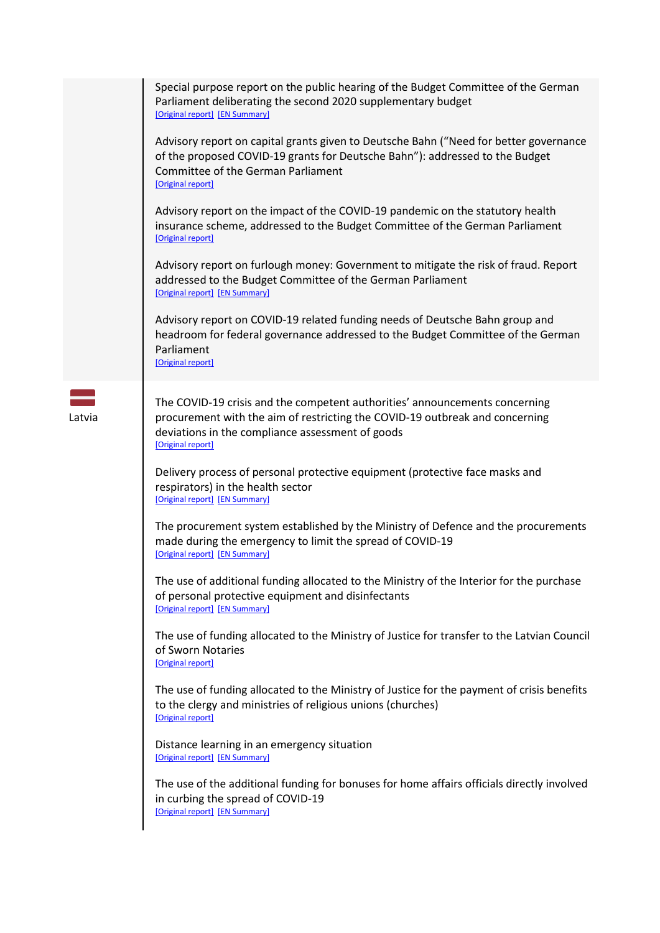|        | Special purpose report on the public hearing of the Budget Committee of the German<br>Parliament deliberating the second 2020 supplementary budget<br>[Original report] [EN Summary]                                                 |
|--------|--------------------------------------------------------------------------------------------------------------------------------------------------------------------------------------------------------------------------------------|
|        | Advisory report on capital grants given to Deutsche Bahn ("Need for better governance<br>of the proposed COVID-19 grants for Deutsche Bahn"): addressed to the Budget<br>Committee of the German Parliament<br>[Original report]     |
|        | Advisory report on the impact of the COVID-19 pandemic on the statutory health<br>insurance scheme, addressed to the Budget Committee of the German Parliament<br>[Original report]                                                  |
|        | Advisory report on furlough money: Government to mitigate the risk of fraud. Report<br>addressed to the Budget Committee of the German Parliament<br>[Original report] [EN Summary]                                                  |
|        | Advisory report on COVID-19 related funding needs of Deutsche Bahn group and<br>headroom for federal governance addressed to the Budget Committee of the German<br>Parliament<br>[Original report]                                   |
| Latvia | The COVID-19 crisis and the competent authorities' announcements concerning<br>procurement with the aim of restricting the COVID-19 outbreak and concerning<br>deviations in the compliance assessment of goods<br>[Original report] |
|        | Delivery process of personal protective equipment (protective face masks and<br>respirators) in the health sector<br>[Original report] [EN Summary]                                                                                  |
|        | The procurement system established by the Ministry of Defence and the procurements<br>made during the emergency to limit the spread of COVID-19<br>[Original report] [EN Summary]                                                    |
|        | The use of additional funding allocated to the Ministry of the Interior for the purchase<br>of personal protective equipment and disinfectants<br>[Original report] [EN Summary]                                                     |
|        | The use of funding allocated to the Ministry of Justice for transfer to the Latvian Council<br>of Sworn Notaries<br>[Original report]                                                                                                |
|        | The use of funding allocated to the Ministry of Justice for the payment of crisis benefits<br>to the clergy and ministries of religious unions (churches)<br>[Original report]                                                       |
|        | Distance learning in an emergency situation<br>[Original report] [EN Summary]                                                                                                                                                        |
|        | The use of the additional funding for bonuses for home affairs officials directly involved<br>in curbing the spread of COVID-19<br>[Original report] [EN Summary]                                                                    |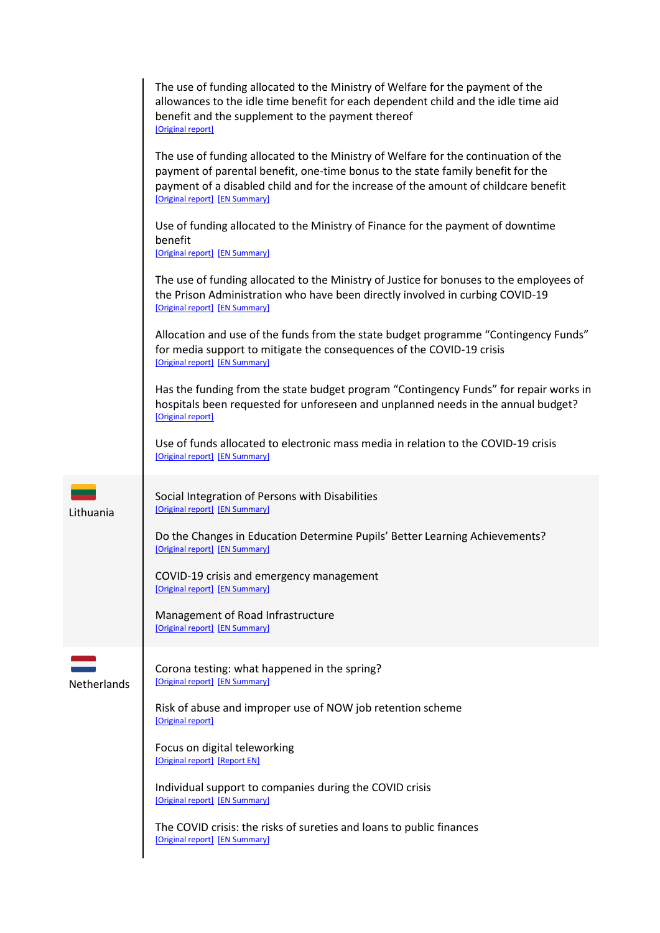|             | The use of funding allocated to the Ministry of Welfare for the payment of the<br>allowances to the idle time benefit for each dependent child and the idle time aid<br>benefit and the supplement to the payment thereof<br>[Original report]                                                  |
|-------------|-------------------------------------------------------------------------------------------------------------------------------------------------------------------------------------------------------------------------------------------------------------------------------------------------|
|             | The use of funding allocated to the Ministry of Welfare for the continuation of the<br>payment of parental benefit, one-time bonus to the state family benefit for the<br>payment of a disabled child and for the increase of the amount of childcare benefit<br>[Original report] [EN Summary] |
|             | Use of funding allocated to the Ministry of Finance for the payment of downtime<br>benefit<br>[Original report] [EN Summary]                                                                                                                                                                    |
|             | The use of funding allocated to the Ministry of Justice for bonuses to the employees of<br>the Prison Administration who have been directly involved in curbing COVID-19<br>[Original report] [EN Summary]                                                                                      |
|             | Allocation and use of the funds from the state budget programme "Contingency Funds"<br>for media support to mitigate the consequences of the COVID-19 crisis<br>[Original report] [EN Summary]                                                                                                  |
|             | Has the funding from the state budget program "Contingency Funds" for repair works in<br>hospitals been requested for unforeseen and unplanned needs in the annual budget?<br>[Original report]                                                                                                 |
|             | Use of funds allocated to electronic mass media in relation to the COVID-19 crisis<br>[Original report] [EN Summary]                                                                                                                                                                            |
| Lithuania   | Social Integration of Persons with Disabilities<br>[Original report] [EN Summary]                                                                                                                                                                                                               |
|             | Do the Changes in Education Determine Pupils' Better Learning Achievements?<br>[Original report] [EN Summary]                                                                                                                                                                                   |
|             | COVID-19 crisis and emergency management<br>[Original report] [EN Summary]                                                                                                                                                                                                                      |
|             | Management of Road Infrastructure<br>[Original report] [EN Summary]                                                                                                                                                                                                                             |
| Netherlands | Corona testing: what happened in the spring?<br>[Original report] [EN Summary]                                                                                                                                                                                                                  |
|             | Risk of abuse and improper use of NOW job retention scheme<br>[Original report]                                                                                                                                                                                                                 |
|             | Focus on digital teleworking<br>[Original report] [Report EN]                                                                                                                                                                                                                                   |
|             | Individual support to companies during the COVID crisis<br>[Original report] [EN Summary]                                                                                                                                                                                                       |
|             | The COVID crisis: the risks of sureties and loans to public finances<br>[Original report] [EN Summary]                                                                                                                                                                                          |